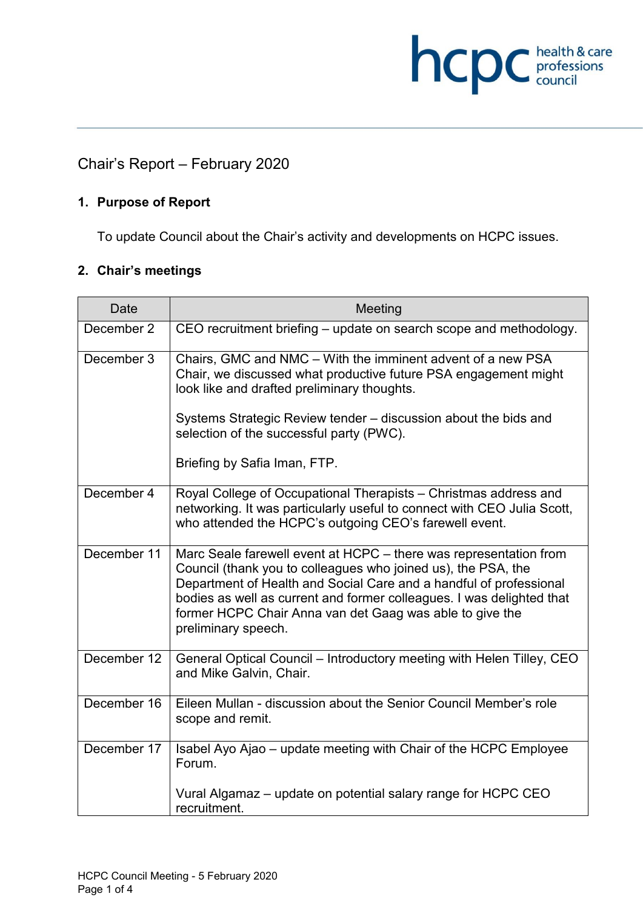# Chair's Report – February 2020

#### **1. Purpose of Report**

To update Council about the Chair's activity and developments on HCPC issues.

**hcpC** professions

#### **2. Chair's meetings**

| <b>Date</b> | Meeting                                                                                                                                                                                                                                                                                                                                                              |
|-------------|----------------------------------------------------------------------------------------------------------------------------------------------------------------------------------------------------------------------------------------------------------------------------------------------------------------------------------------------------------------------|
| December 2  | CEO recruitment briefing - update on search scope and methodology.                                                                                                                                                                                                                                                                                                   |
| December 3  | Chairs, GMC and NMC – With the imminent advent of a new PSA<br>Chair, we discussed what productive future PSA engagement might<br>look like and drafted preliminary thoughts.                                                                                                                                                                                        |
|             | Systems Strategic Review tender – discussion about the bids and<br>selection of the successful party (PWC).                                                                                                                                                                                                                                                          |
|             | Briefing by Safia Iman, FTP.                                                                                                                                                                                                                                                                                                                                         |
| December 4  | Royal College of Occupational Therapists - Christmas address and<br>networking. It was particularly useful to connect with CEO Julia Scott,<br>who attended the HCPC's outgoing CEO's farewell event.                                                                                                                                                                |
| December 11 | Marc Seale farewell event at HCPC – there was representation from<br>Council (thank you to colleagues who joined us), the PSA, the<br>Department of Health and Social Care and a handful of professional<br>bodies as well as current and former colleagues. I was delighted that<br>former HCPC Chair Anna van det Gaag was able to give the<br>preliminary speech. |
| December 12 | General Optical Council – Introductory meeting with Helen Tilley, CEO<br>and Mike Galvin, Chair.                                                                                                                                                                                                                                                                     |
| December 16 | Eileen Mullan - discussion about the Senior Council Member's role<br>scope and remit.                                                                                                                                                                                                                                                                                |
| December 17 | Isabel Ayo Ajao – update meeting with Chair of the HCPC Employee<br>Forum.                                                                                                                                                                                                                                                                                           |
|             | Vural Algamaz - update on potential salary range for HCPC CEO<br>recruitment.                                                                                                                                                                                                                                                                                        |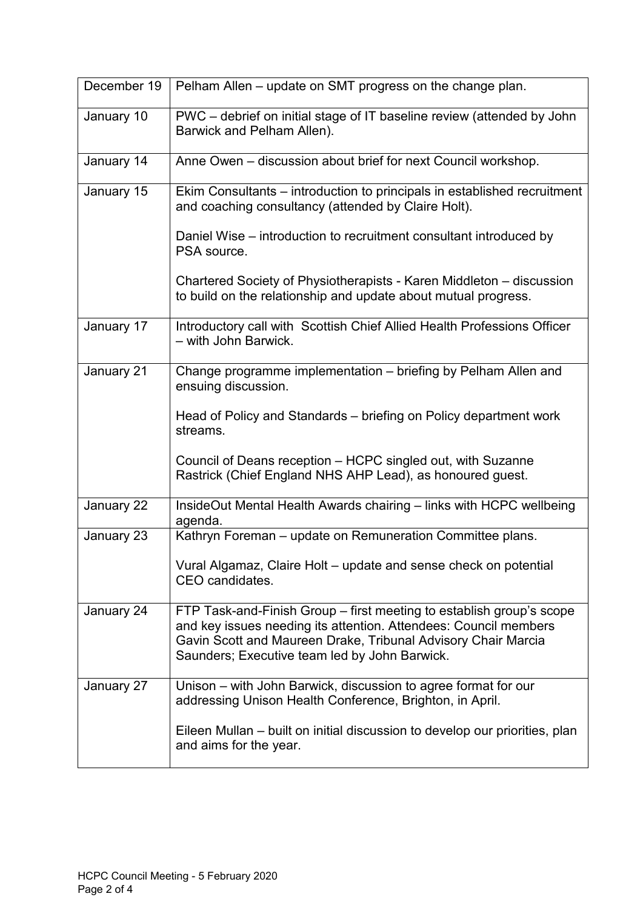| December 19 | Pelham Allen - update on SMT progress on the change plan.                                                                                                                                                                                                  |
|-------------|------------------------------------------------------------------------------------------------------------------------------------------------------------------------------------------------------------------------------------------------------------|
| January 10  | PWC – debrief on initial stage of IT baseline review (attended by John<br>Barwick and Pelham Allen).                                                                                                                                                       |
| January 14  | Anne Owen – discussion about brief for next Council workshop.                                                                                                                                                                                              |
| January 15  | Ekim Consultants – introduction to principals in established recruitment<br>and coaching consultancy (attended by Claire Holt).                                                                                                                            |
|             | Daniel Wise – introduction to recruitment consultant introduced by<br>PSA source.                                                                                                                                                                          |
|             | Chartered Society of Physiotherapists - Karen Middleton – discussion<br>to build on the relationship and update about mutual progress.                                                                                                                     |
| January 17  | Introductory call with Scottish Chief Allied Health Professions Officer<br>- with John Barwick.                                                                                                                                                            |
| January 21  | Change programme implementation - briefing by Pelham Allen and<br>ensuing discussion.                                                                                                                                                                      |
|             | Head of Policy and Standards – briefing on Policy department work<br>streams.                                                                                                                                                                              |
|             | Council of Deans reception - HCPC singled out, with Suzanne<br>Rastrick (Chief England NHS AHP Lead), as honoured guest.                                                                                                                                   |
| January 22  | InsideOut Mental Health Awards chairing – links with HCPC wellbeing<br>agenda.                                                                                                                                                                             |
| January 23  | Kathryn Foreman - update on Remuneration Committee plans.                                                                                                                                                                                                  |
|             | Vural Algamaz, Claire Holt – update and sense check on potential<br>CEO candidates.                                                                                                                                                                        |
| January 24  | FTP Task-and-Finish Group – first meeting to establish group's scope<br>and key issues needing its attention. Attendees: Council members<br>Gavin Scott and Maureen Drake, Tribunal Advisory Chair Marcia<br>Saunders; Executive team led by John Barwick. |
| January 27  | Unison – with John Barwick, discussion to agree format for our<br>addressing Unison Health Conference, Brighton, in April.                                                                                                                                 |
|             | Eileen Mullan – built on initial discussion to develop our priorities, plan<br>and aims for the year.                                                                                                                                                      |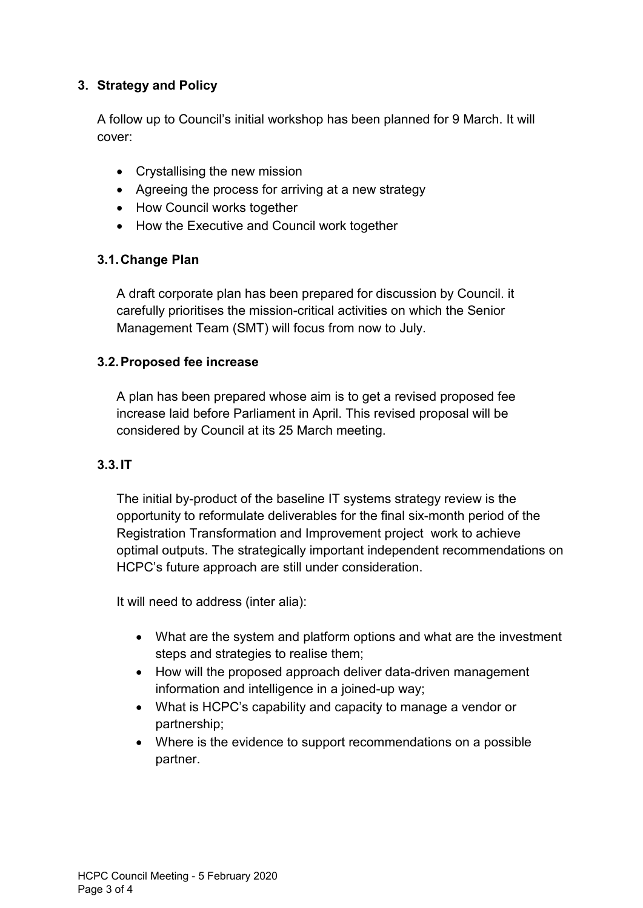## **3. Strategy and Policy**

A follow up to Council's initial workshop has been planned for 9 March. It will cover:

- Crystallising the new mission
- Agreeing the process for arriving at a new strategy
- How Council works together
- How the Executive and Council work together

## **3.1.Change Plan**

A draft corporate plan has been prepared for discussion by Council. it carefully prioritises the mission-critical activities on which the Senior Management Team (SMT) will focus from now to July.

## **3.2.Proposed fee increase**

A plan has been prepared whose aim is to get a revised proposed fee increase laid before Parliament in April. This revised proposal will be considered by Council at its 25 March meeting.

#### **3.3.IT**

The initial by-product of the baseline IT systems strategy review is the opportunity to reformulate deliverables for the final six-month period of the Registration Transformation and Improvement project work to achieve optimal outputs. The strategically important independent recommendations on HCPC's future approach are still under consideration.

It will need to address (inter alia):

- What are the system and platform options and what are the investment steps and strategies to realise them;
- How will the proposed approach deliver data-driven management information and intelligence in a joined-up way;
- What is HCPC's capability and capacity to manage a vendor or partnership;
- Where is the evidence to support recommendations on a possible partner.